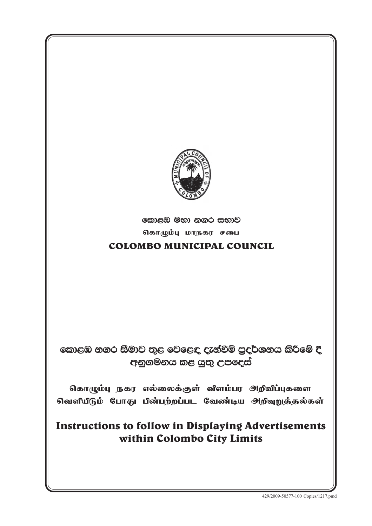

කොළඹ මහා නගර සභාව கொழும்பு மாநகர சபை

**COLOMBO MUNICIPAL COUNCIL** 

කොළඹ නගර සීමාව තුළ වෙළෙඳ දැන්වීම් පුදර්ශනය කිරීමේ දී අනුගමනය කළ යුතු උපදෙස්

கொழும்பு நகர எல்லைக்குள் விளம்பர அறிவிப்புகளை வெளியிடும் போது பின்பற்றப்பட வேண்டிய அறிவுறுத்தல்கள்

**Instructions to follow in Displaying Advertisements** within Colombo City Limits

429/2009-50577-100 Copies/1217.pmd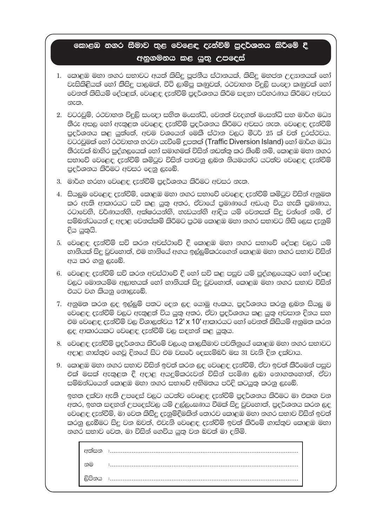## කොළඹ නගර සීමාව තුළ වෙළෙඳ දැන්වීම් පුදර්ශනය කිරීමේ දී අනුගමනය කළ යුතු උපදෙස්

- 1. කොළඹ මහා නගර සභාවට අයත් කිසිදු පුජනීය ස්ථානයක්, කිසිදු මහජන උදහානයක් නෝ වැසිකිළියක් හෝ කිසිදු පාලමක්. වීට් ලාම්පු කණුවක්, රථවාහන විදුලි සංඥා කණුවක් හෝ වෙනත් කිසියම් දේපළක්, වෙළෙඳ දැන්වීම් පුදුර්ශනය කිරීම සඳහා පරිහරණය කිරීමට අවසර නැත.
- 2. වටරවම්, රථවාහන විදුලි සංඥා සහිත මංසන්ධි, වෙනත් වැදගත් මංසන්ධි සහ මාර්ග මධා තීරු අසල හෝ ඇතුළත වෙළෙඳ දැන්වීම් පුදර්ශනය කිරීමට අවසර නැත. වෙළෙඳ දැන්වීම් පුදුර්ශනය කළ යුත්තේ, අවම වශයෙන් මෙකී ස්ථාන වලට මීටර් 25 ක් වත් දුරස්ථවය. වටරවුමක් හෝ රථවාහන හරවා යැවීමේ දූපතක් (Traffic Diversion Island) හෝ මාර්ග මධ $x$ තීරුවක් බාහිර පුද්ගලයෙක් හෝ සමාගමක් විසින් නඩත්තු කර තිබේ නම්, කොළඹ මහා නගර සභාවේ වෙළෙඳ දැන්වීම් කමිටුව විසින් පනවනු ලබන නියමයන්ට යටත්ව වෙළෙඳ දැන්වීම් පුදර්ශනය කිරීමට අවසර දෙනු ලැබේ.
- 3. මාර්ග හරහා වෙළෙඳ දැන්වීම් පුදුර්ශනය කිරීමට අවසර නැත.
- 4. සියලුම වෙළෙඳ දැන්වීම්, කොළඹ මහා නගර සභාවේ වෙළෙඳ දැන්වීම් කමිටුව විසින් අනුමත කර ඇති ආකාරයට සවි කළ යුතු අතර, ඒවායේ පුමාණයේ අඩංගු විය හැකි පුමාණය, රටාවෙහි, වර්ණයන්හි, අක්ෂරයන්හි, හැඩයන්හි ආදිය යම් වෙනසක් සිදු වන්නේ නම්, ඒ සම්බන්ධයෙන් ද අදාළ වෙනස්කම් කිරීමට පුථම කොළඹ මහා නගර සභාවට නිසි ලෙස දැනුම් දිය යුතුයි.
- 5. වෙළෙඳ දැන්වීම් සවි කරන අවස්ථාවේ දී කොළඹ මහා නගර සභාවේ දේපළ වලට යම් භානියක් සිදු වුවහොත්, එම භානියේ අගය ඉල්ලුම්කරුගෙන් කොළඹ මහා නගර සභාව විසින් අය කර ගනු ලැබේ.
- 6. වෙළෙඳ දැන්වීම් සවි කරන අවස්ථාවේ දී හෝ සවි කළ පසුව යම් පුද්ගලයෙකුට හෝ දේපළ වලට මොනයම්ම අලාභයක් හෝ භානියක් සිදු වුවහොත්, කොළඹ මහා නගර සභාව විසින් එයට වග කියනු නොලැබේ.
- 7. අනුමත කරන ලද ඉල්ලුම් පතට දෙන ලද යොමු අංකය, පුදුර්ශනය කරනු ලබන සියලු ම වෙළෙඳ දැන්වීම් වලට ඇතුළත් විය යුතු අතර, ඒවා පුදර්ශනය කළ යුතු අවසාන දිනය සහ එම වෙළෙඳ දැන්වීම් වල විශාලත්වය 12' x 10' ආකාරයට හෝ වෙනත් කිසියම් අනුමත කරන ලද ආකාරයකට වෙළෙඳ දැන්වීම් වල සඳහන් කළ යුතුය.
- 8. වෙළෙඳ දැන්වීම් පුදුර්ශනය කිරීමේ වලංගු කාලසීමාව පවතිනුයේ කොළඹ මහා නගර සභාවට අදාළ ගාස්තුව ගෙවු දිනයේ සිට එම වසරේ දෙසැම්බර් මස 31 වැනි දින දක්වාය.
- 9. කොළඹ මහා නගර සභාව විසින් ඉවත් කරන ලද වෙළෙඳ දැන්වීම්, ඒවා ඉවත් කිරීමෙන් පසුව එක් මසක් ඇතුළත දී අදාළ අයදුම්කරුවන් විසින් පැමිණ ලබා නොගතහොත්, ඒවා සම්බන්ධයෙන් කොළඹ මහා නගර සභාවේ අභිමතය පරිදි කටයුතු කරනු ලැබේ.

ඉහත දක්වා ඇති උපදෙස් වලට යටත්ව වෙළෙඳ දැන්වීම් පුදර්ශනය කිරීමට මා එකඟ වන අතර, ඉහත සඳහන් උපදෙස්වල යම් උල්ලංඝණය වීමක් සිදු වුවහොත්, පුදර්ශනය කරන ලද වෙළෙඳ දැන්වීම්. මා වෙත කිසිද දැනුම්දීමකින් තොරව කොළඹ මහා නගර සභාව විසින් ඉවත් කරනු ලැබීමට සිදු වන බවත්, එවැනි වෙළෙඳ දැන්වීම් ඉවත් කිරීමේ ගාස්තුව කොළඹ මහා නගර සභාව වෙත, මා විසින් ගෙවිය යුතු වන බවත් මා දනිමි.

| නම |  |
|----|--|
|    |  |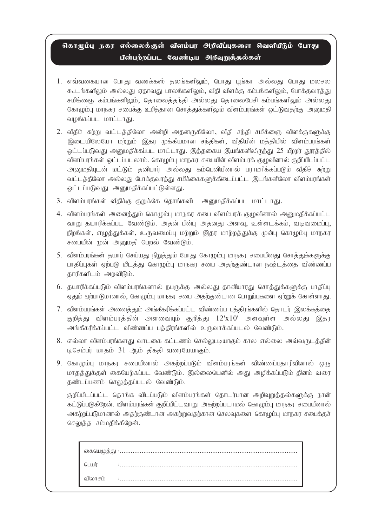## கொழும்பு நகர எல்லைக்குள் விளம்பர அறிவிப்புகளை வெளியிடும் போது பின்பற்றப்பட வேண்டிய அறிவுறுத்தல்கள்

- 1. எவ்வகையான பொது வணக்கஸ் தலங்களிலும், பொது பூங்கா அல்லது பொது மலசல கூடங்களிலும் அல்லது ஏதாவது பாலங்களிலும், வீதி விளக்கு கம்பங்களிலும், போக்குவரத்து சமிக்ஞை கம்பங்களிலும், தொலைத்தந்தி அல்லது தொலைபேசி கம்பங்களிலும் அல்லது கொழும்பு மாநகர சபைக்கு உரித்தான சொத்துக்களிலும் விளம்பரங்கள் ஒட்டுவதற்கு அனுமதி வழங்கப்பட மாட்டாது.
- 2. வீதிச் சுற்று வட்டத்திலோ அன்றி அதனருகிலோ, வீதி சந்தி சமிக்ஞை விளக்குகளுக்கு இடையிலேயோ மற்றும் இகா முக்கியமான சந்திகள், விகியின் மக்கியில் விளம்பாங்கள் ெட்டப்படுவது அனுமதிக்கப்பட மாட்டாது. இத்தகைய இயங்களிலிருந்து 25 மீற்றர் தூரத்தில் விளம்பரங்கள் ஒட்டப்படலாம். கொழும்பு மாநகர சபையின் விளம்பரக் குழுவினால் குறிப்பிடப்பட்ட அனுமதியுடன் மட்டும் தனியார் அல்லது கம்பெனியினால் பராமரிக்கப்படும் வீதிச் சுற்று வட்டத்திலோ அல்லது போக்குவரத்து சமிக்கைகளுக்கிடைப்பட்ட இடங்களிலோ விளம்பரங்கள் ஒட்டப்படுவது அனுமதிக்கப்பட்டுள்ளது.
- 3. விளம்பரங்கள் வீதிக்கு குறுக்கே தொங்கவிட அனுமதிக்கப்பட மாட்டாது.
- 4. விளம்பரங்கள் அனைத்தும் கொழும்பு மாநகர சபை விளம்பரக் குழுவினால் அனுமதிக்கப்பட்ட வாறு தயாரிக்கப்பட வேண்டும். அதன் பின்பு அதனது அளவு, உள்ளடக்கம், வடிவமைப்பு, நிறங்கள், எழுத்துக்கள், உருவமைப்பு மற்றும் இதர மாற்றத்துக்கு முன்பு கொழும்பு மாநகர சபையின் முன் அனுமதி பெறல் வேண்டும்.
- 5. விளம்பரங்கள் தயார் செய்யது நிறுத்தும் போது கொழும்பு மாநகர சபையினது சொத்துக்களுக்கு பாதிப்புகள் ஏற்படு மிடத்து கொழும்பு மாநகர சபை அதற்குண்டான நஷ்டத்தை விண்ணப்ப தாரிகளிடம் அறவிடும்.
- 6. தயாரிக்கப்படும் விளம்பரங்களால் நபருக்கு அல்லது தானியாரது சொத்துக்களுக்கு பாதிப்பு ஏதும் ஏற்பாடுமானால், கொழும்பு மாநகர சபை அதற்குண்டான பொறுப்புகளை ஏற்றுக் கொள்ளாது.
- 7. விளம்பரங்கள் அனைத்தும் அங்கீகரிக்கப்பட்ட விண்ணப்ப பத்திரங்களில் தொடர் இலக்கத்தை குறித்து விளம்பரத்தின் அளவையும் குறித்து 12'x10' அளவுள்ள அல்லது இதர அங்கீகரிக்கப்பட்ட விண்ணப்ப பத்திரங்களில் உருவாக்கப்படல் வேண்டும்.
- 8. எல்லா விளம்பரங்களது வாடகை கட்டணம் செல்லுபடியாகும் கால எல்லை அவ்வருடத்தின் டிசெம்பர் மாதம் 31 ஆம் திகதி வரையேயாகும்.
- 9. கொழும்பு மாநகர சபையினால் அகற்றப்படும் விளம்பரங்கள் விண்ணப்பதாரிவினால் ஒரு மாதத்துக்குள் கையேற்கப்பட வேண்டும். இல்லையெனில் அது அழிக்கப்படும் தினம் வரை தண்டப்பணம் செலுத்தப்படல் வேண்டும்.

குறிப்பிடப்பட்ட தொங்க விடப்படும் விளம்பரங்கள் தொடர்பான அறிவுறுத்தல்களுக்கு நான் கட்டுப்படுகிறேன். விளம்பரங்கள் குறிப்பிட்டவாறு அகற்றப்படாமல் கொழும்பு மாநகர சபையினால் அகற்றப்படுமானால் அதற்குண்டான அகற்றுவதற்கான செலவுகளை கொழும்பு மாநகர சபைக்குச் செலுத்த சம்மதிக்கிறேன்.